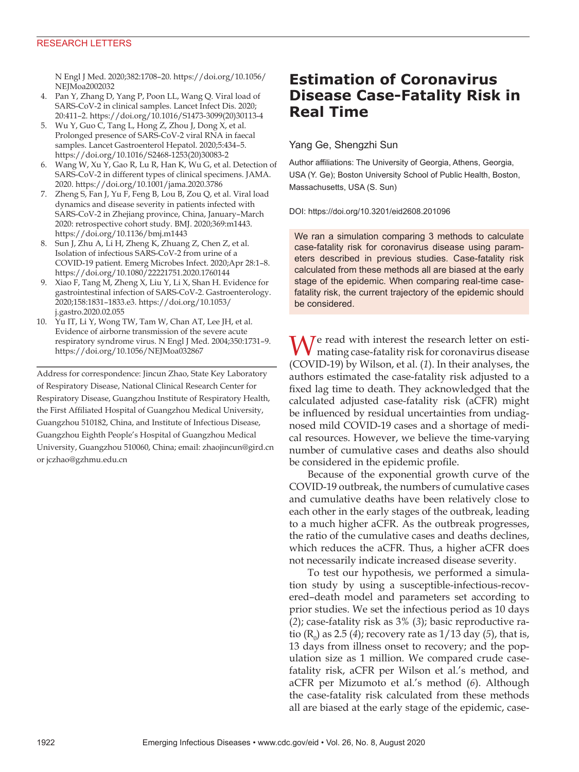N Engl J Med. 2020;382:1708–20. https://doi.org/10.1056/ NEJMoa2002032

- 4. Pan Y, Zhang D, Yang P, Poon LL, Wang Q. Viral load of SARS-CoV-2 in clinical samples. Lancet Infect Dis. 2020; 20:411–2. https://doi.org/10.1016/S1473-3099(20)30113-4
- 5. Wu Y, Guo C, Tang L, Hong Z, Zhou J, Dong X, et al. Prolonged presence of SARS-CoV-2 viral RNA in faecal samples. Lancet Gastroenterol Hepatol. 2020;5:434–5. https://doi.org/10.1016/S2468-1253(20)30083-2
- 6. Wang W, Xu Y, Gao R, Lu R, Han K, Wu G, et al. Detection of SARS-CoV-2 in different types of clinical specimens. JAMA. 2020. https://doi.org/10.1001/jama.2020.3786
- 7. Zheng S, Fan J, Yu F, Feng B, Lou B, Zou Q, et al. Viral load dynamics and disease severity in patients infected with SARS-CoV-2 in Zhejiang province, China, January–March 2020: retrospective cohort study. BMJ. 2020;369:m1443. https://doi.org/10.1136/bmj.m1443
- 8. Sun J, Zhu A, Li H, Zheng K, Zhuang Z, Chen Z, et al. Isolation of infectious SARS-CoV-2 from urine of a COVID-19 patient. Emerg Microbes Infect. 2020;Apr 28:1–8. https://doi.org/10.1080/22221751.2020.1760144
- 9. Xiao F, Tang M, Zheng X, Liu Y, Li X, Shan H. Evidence for gastrointestinal infection of SARS-CoV-2. Gastroenterology. 2020;158:1831–1833.e3. https://doi.org/10.1053/ j.gastro.2020.02.055
- 10. Yu IT, Li Y, Wong TW, Tam W, Chan AT, Lee JH, et al. Evidence of airborne transmission of the severe acute respiratory syndrome virus. N Engl J Med. 2004;350:1731–9. https://doi.org/10.1056/NEJMoa032867

Address for correspondence: Jincun Zhao, State Key Laboratory of Respiratory Disease, National Clinical Research Center for Respiratory Disease, Guangzhou Institute of Respiratory Health, the First Affiliated Hospital of Guangzhou Medical University, Guangzhou 510182, China, and Institute of Infectious Disease, Guangzhou Eighth People's Hospital of Guangzhou Medical University, Guangzhou 510060, China; email: zhaojincun@gird.cn or jczhao@gzhmu.edu.cn

# **Estimation of Coronavirus Disease Case-Fatality Risk in Real Time**

## Yang Ge, Shengzhi Sun

Author affiliations: The University of Georgia, Athens, Georgia, USA (Y. Ge); Boston University School of Public Health, Boston, Massachusetts, USA (S. Sun)

#### DOI: https://doi.org/10.3201/eid2608.201096

We ran a simulation comparing 3 methods to calculate case-fatality risk for coronavirus disease using parameters described in previous studies. Case-fatality risk calculated from these methods all are biased at the early stage of the epidemic. When comparing real-time casefatality risk, the current trajectory of the epidemic should be considered.

 $\bigwedge$   $\bigwedge$   $\bigwedge$  read with interest the research letter on estimating case-fatality risk for coronavirus disease (COVID-19) by Wilson, et al. (*1*). In their analyses, the authors estimated the case-fatality risk adjusted to a fixed lag time to death. They acknowledged that the calculated adjusted case-fatality risk (aCFR) might be influenced by residual uncertainties from undiagnosed mild COVID-19 cases and a shortage of medical resources. However, we believe the time-varying number of cumulative cases and deaths also should be considered in the epidemic profile.

Because of the exponential growth curve of the COVID-19 outbreak, the numbers of cumulative cases and cumulative deaths have been relatively close to each other in the early stages of the outbreak, leading to a much higher aCFR. As the outbreak progresses, the ratio of the cumulative cases and deaths declines, which reduces the aCFR. Thus, a higher aCFR does not necessarily indicate increased disease severity.

To test our hypothesis, we performed a simulation study by using a susceptible-infectious-recovered–death model and parameters set according to prior studies. We set the infectious period as 10 days (*2*); case-fatality risk as 3% (*3*); basic reproductive ratio ( $R_0$ ) as 2.5 (4); recovery rate as 1/13 day (5), that is, 13 days from illness onset to recovery; and the population size as 1 million. We compared crude casefatality risk, aCFR per Wilson et al.'s method, and aCFR per Mizumoto et al.'s method (*6*). Although the case-fatality risk calculated from these methods all are biased at the early stage of the epidemic, case